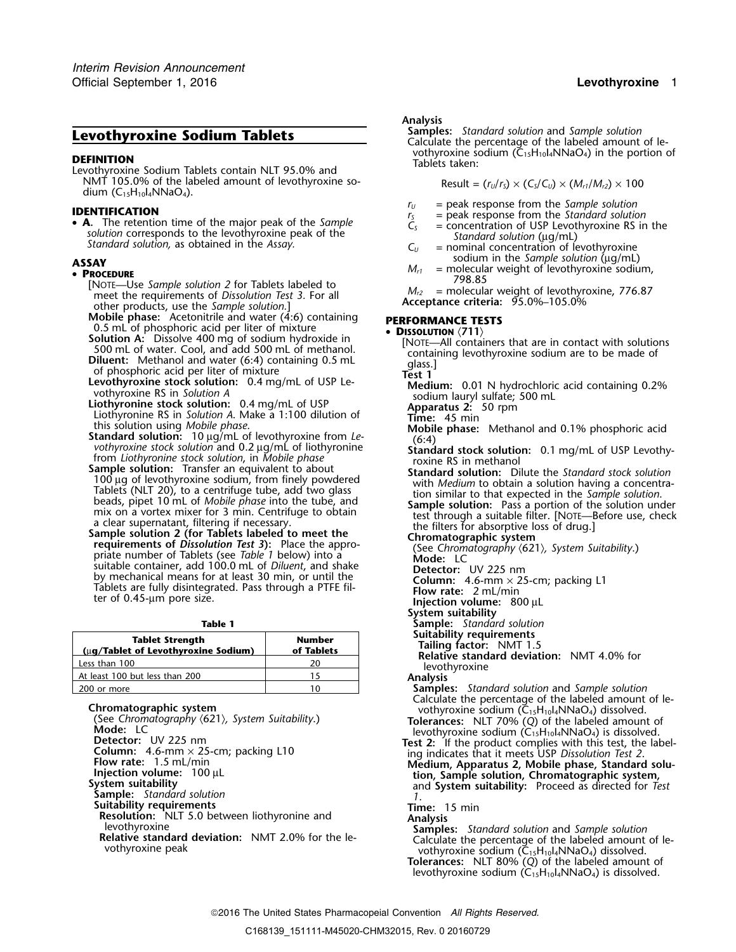**DEFINITION**<br>Levothyroxine Sodium Tablets contain NLT 95.0% and Tablets taken: NMT 105.0% of the labeled amount of levothyroxine sodium  $(C_{15}H_{10}I_4NNaO_4)$ .

**IDENTIFICATION**<br> **PEARTIFICATION F**<sub>*I*</sub> **IDENTIFICATION**<br> **PEARTIFICATION IDENTIFICATION**<br> **PEARTIFICATION IDENTIFICATION**<br> **PEARTIFICATION**<br> **PEARTIFICATION**<br> **PEARTIFICATION**<br> **PEARTIFICATION**<br> **PEARTIFICATION**<br> **A.** The retention time of the major peak of the *Sample*<br>
solution corresponds to the levothyroxine peak of the<br> *Standard solution*, as obtained in the *Assay*.<br> **C**<sub>U</sub> = nominal concentration of levothyroxine<br>
solution

- **P**<sup>190.85</sup> [NOTE—Use *Sample solution 2* for Tablets labeled to<br>meet the requirements of Dissolution Test 3. For all M<sub>r2</sub> = molecular weight of levothyroxine, 776.87 meet the requirements of *Dissolution Test 3.* For all *M<sub>r2</sub>* = molecular weight of levothyroxine, 78.0%–105.0% and the *Sample solution* J other products, use the *Sample solution*.]<br>**Mobile phase:** Acetonitrile and water (4:6) containing
- **Mobile phase:** Acetonitrile and water (4:6) containing **PERFORMANCE TESTS**<br>0.5 mL of phosphoric acid per liter of mixture **DISSOLUTION** (711)<br>**Solution A:** Dissolve 400 mg of sodium hydroxide in
- 
- 
- 
- 
- 
- **3.** The propagator and per nier of minited per limit of USBOLUTON (711)<br>
Solution A: Dissolve 400 mg of sodium hydroxide in<br>
Solution A: Dissolve 400 mg of sodium hydroxide in<br>
Dilucent: Nethanol and add 500 mL of methan

| Table 1                                                       |                             | Sample: Standard solution                                                                                                                   |
|---------------------------------------------------------------|-----------------------------|---------------------------------------------------------------------------------------------------------------------------------------------|
| <b>Tablet Strength</b><br>(ug/Tablet of Levothyroxine Sodium) | <b>Number</b><br>of Tablets | Suitability requirements<br><b>Tailing factor: NMT 1.5</b><br>Relative standard deviation: NMT 4.0% for<br>levothyroxine<br><b>Analysis</b> |
| Less than 100                                                 | 20                          |                                                                                                                                             |
| At least 100 but less than 200                                |                             |                                                                                                                                             |
| 200 or more                                                   | 10                          | <b>Samples:</b> Standard solution and Sample solutio                                                                                        |

Chromatographic system<br>
(See Chromatography (621), System Suitability.)<br>
(See Chromatography (621), System Suitability.)<br>
Mode: LC<br>
Detector: UV 225 nm<br>
Column: 4.6-mm × 25-cm; packing L10<br>
Flow rate: 1.5 mL/min<br>
Flow rate **Sample:** *Standard solution 1*. **Suitability requirements**<br>**Resolution:** NLT 5.0 between liothyronine and **Time:** 15 min **Resolution:** NLT 5.0 between liothyronine and **Analysis**<br>
levothyroxine **Samples:** Standard solution and Sample solution<br> **Relative standard deviation:** NMT 2.0% for the le-<br>
vothyroxine sodium (C<sub>15</sub>H<sub>10</sub>l<sub>4</sub>NNaO<sub>4</sub>) di

# *.* **Analysis**

**Samples:** *Standard solution* and *Sample solution*<br>Calculate the percentage of the labeled amount of le-<br>vothyroxine sodium (C<sub>15</sub>H<sub>10</sub>l<sub>4</sub>NNaO<sub>4</sub>) in the portion of

$$
Result = (rU/rS) \times (CS/CU) \times (Mr1/Mr2) \times 100
$$

- 
- 
- 
- 
- sodium in the *Sample solution* (µg/mL) **ASSAY** *<sup>M</sup>r1* = molecular weight of levothyroxine sodium, •
	-

- 
- 
- 
- 
- 
- 
- 
- 
- 
- 
- 
- 
- 
- **System suitability**
- 
- 
- 

**Samples:** *Standard solution and Sample solution* Calculate the percentage of the labeled amount of le-

- 
- 

**Tolerances:** NLT 80% (*Q*) of the labeled amount of levothyroxine sodium  $(\widetilde{C_{15}}H_{10}I_4NNaO_4)$  is dissolved.

2016 The United States Pharmacopeial Convention *All Rights Reserved.*